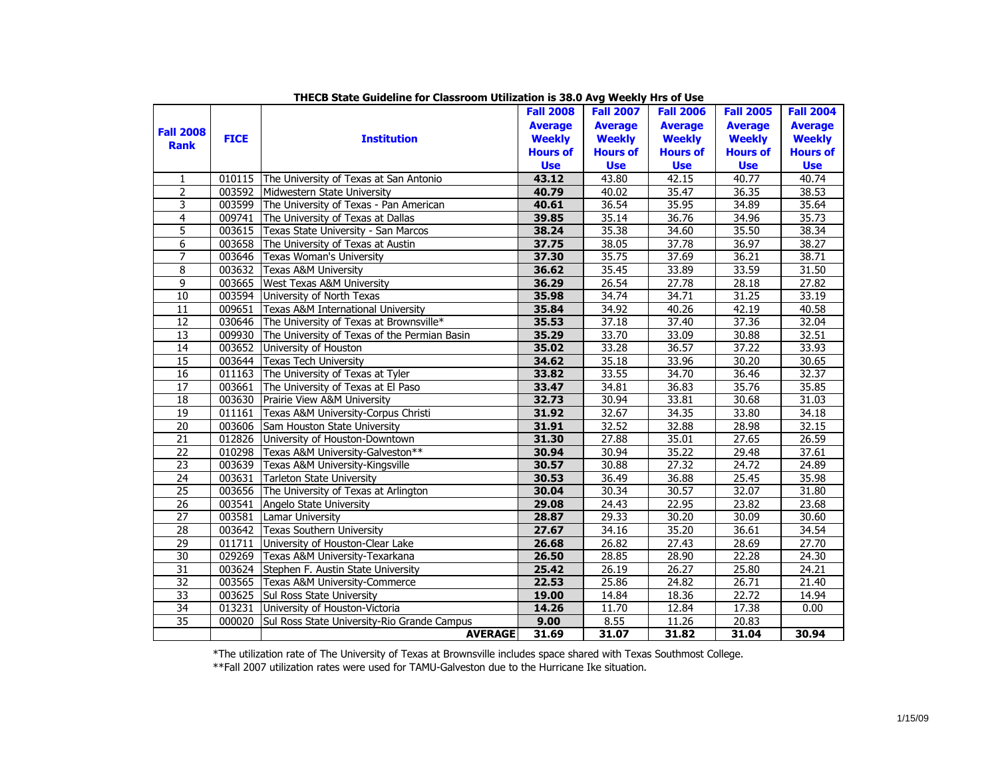|                  |             |                                              | <b>Fall 2008</b> | <b>Fall 2007</b> | <b>Fall 2006</b> | <b>Fall 2005</b> | <b>Fall 2004</b> |
|------------------|-------------|----------------------------------------------|------------------|------------------|------------------|------------------|------------------|
|                  |             |                                              | <b>Average</b>   | <b>Average</b>   | <b>Average</b>   | <b>Average</b>   | <b>Average</b>   |
| <b>Fall 2008</b> | <b>FICE</b> | <b>Institution</b>                           | <b>Weekly</b>    | <b>Weekly</b>    | <b>Weekly</b>    | <b>Weekly</b>    | <b>Weekly</b>    |
| <b>Rank</b>      |             |                                              | <b>Hours of</b>  | <b>Hours of</b>  | <b>Hours of</b>  | <b>Hours of</b>  | <b>Hours of</b>  |
|                  |             |                                              | <b>Use</b>       | <b>Use</b>       | <b>Use</b>       | <b>Use</b>       | <b>Use</b>       |
| $\mathbf{1}$     | 010115      | The University of Texas at San Antonio       | 43.12            | 43.80            | 42.15            | 40.77            | 40.74            |
| 2                | 003592      | Midwestern State University                  | 40.79            | 40.02            | 35.47            | 36.35            | 38.53            |
| 3                | 003599      | The University of Texas - Pan American       | 40.61            | 36.54            | 35.95            | 34.89            | 35.64            |
| $\overline{4}$   | 009741      | The University of Texas at Dallas            | 39.85            | 35.14            | 36.76            | 34.96            | 35.73            |
| 5                | 003615      | Texas State University - San Marcos          | 38.24            | 35.38            | 34.60            | 35.50            | 38.34            |
| 6                | 003658      | The University of Texas at Austin            | 37.75            | 38.05            | 37.78            | 36.97            | 38.27            |
| $\overline{7}$   | 003646      | Texas Woman's University                     | 37.30            | 35.75            | 37.69            | 36.21            | 38.71            |
| 8                | 003632      | <b>Texas A&amp;M University</b>              | 36.62            | 35.45            | 33.89            | 33.59            | 31.50            |
| $\overline{9}$   | 003665      | <b>West Texas A&amp;M University</b>         | 36.29            | 26.54            | 27.78            | 28.18            | 27.82            |
| 10               | 003594      | University of North Texas                    | 35.98            | 34.74            | 34.71            | 31.25            | 33.19            |
| 11               | 009651      | Texas A&M International University           | 35.84            | 34.92            | 40.26            | 42.19            | 40.58            |
| $\overline{12}$  | 030646      | The University of Texas at Brownsville*      | 35.53            | 37.18            | 37.40            | 37.36            | 32.04            |
| 13               | 009930      | The University of Texas of the Permian Basin | 35.29            | 33.70            | 33.09            | 30.88            | 32.51            |
| 14               | 003652      | University of Houston                        | 35.02            | 33.28            | 36.57            | 37.22            | 33.93            |
| 15               | 003644      | <b>Texas Tech University</b>                 | 34.62            | 35.18            | 33.96            | 30.20            | 30.65            |
| 16               | 011163      | The University of Texas at Tyler             | 33.82            | 33.55            | 34.70            | 36.46            | 32.37            |
| $\overline{17}$  | 003661      | The University of Texas at El Paso           | 33.47            | 34.81            | 36.83            | 35.76            | 35.85            |
| 18               | 003630      | Prairie View A&M University                  | 32.73            | 30.94            | 33.81            | 30.68            | 31.03            |
| 19               | 011161      | Texas A&M University-Corpus Christi          | 31.92            | 32.67            | 34.35            | 33.80            | 34.18            |
| $\overline{20}$  | 003606      | Sam Houston State University                 | 31.91            | 32.52            | 32.88            | 28.98            | 32.15            |
| $\overline{21}$  | 012826      | University of Houston-Downtown               | 31.30            | 27.88            | 35.01            | 27.65            | 26.59            |
| $\overline{22}$  | 010298      | Texas A&M University-Galveston**             | 30.94            | 30.94            | 35.22            | 29.48            | 37.61            |
| $\overline{23}$  | 003639      | Texas A&M University-Kingsville              | 30.57            | 30.88            | 27.32            | 24.72            | 24.89            |
| $\overline{24}$  | 003631      | Tarleton State University                    | 30.53            | 36.49            | 36.88            | 25.45            | 35.98            |
| $\overline{25}$  | 003656      | The University of Texas at Arlington         | 30.04            | 30.34            | 30.57            | 32.07            | 31.80            |
| $\overline{26}$  | 003541      | Angelo State University                      | 29.08            | 24.43            | 22.95            | 23.82            | 23.68            |
| 27               | 003581      | Lamar University                             | 28.87            | 29.33            | 30.20            | 30.09            | 30.60            |
| 28               | 003642      | <b>Texas Southern University</b>             | 27.67            | 34.16            | 35.20            | 36.61            | 34.54            |
| $\overline{29}$  | 011711      | University of Houston-Clear Lake             | 26.68            | 26.82            | 27.43            | 28.69            | 27.70            |
| 30               | 029269      | Texas A&M University-Texarkana               | 26.50            | 28.85            | 28.90            | 22.28            | 24.30            |
| $\overline{31}$  | 003624      | Stephen F. Austin State University           | 25.42            | 26.19            | 26.27            | 25.80            | 24.21            |
| $\overline{32}$  |             | 003565 Texas A&M University-Commerce         | 22.53            | 25.86            | 24.82            | 26.71            | 21.40            |
| $\overline{33}$  | 003625      | Sul Ross State University                    | 19.00            | 14.84            | 18.36            | 22.72            | 14.94            |
| 34               | 013231      | University of Houston-Victoria               | 14.26            | 11.70            | 12.84            | 17.38            | 0.00             |
| 35               | 000020      | Sul Ross State University-Rio Grande Campus  | 9.00             | 8.55             | 11.26            | 20.83            |                  |
|                  |             | <b>AVERAGE</b>                               | 31.69            | 31.07            | 31.82            | 31.04            | 30.94            |

# **THECB State Guideline for Classroom Utilization is 38.0 Avg Weekly Hrs of Use**

\*The utilization rate of The University of Texas at Brownsville includes space shared with Texas Southmost College.

\*\*Fall 2007 utilization rates were used for TAMU-Galveston due to the Hurricane Ike situation.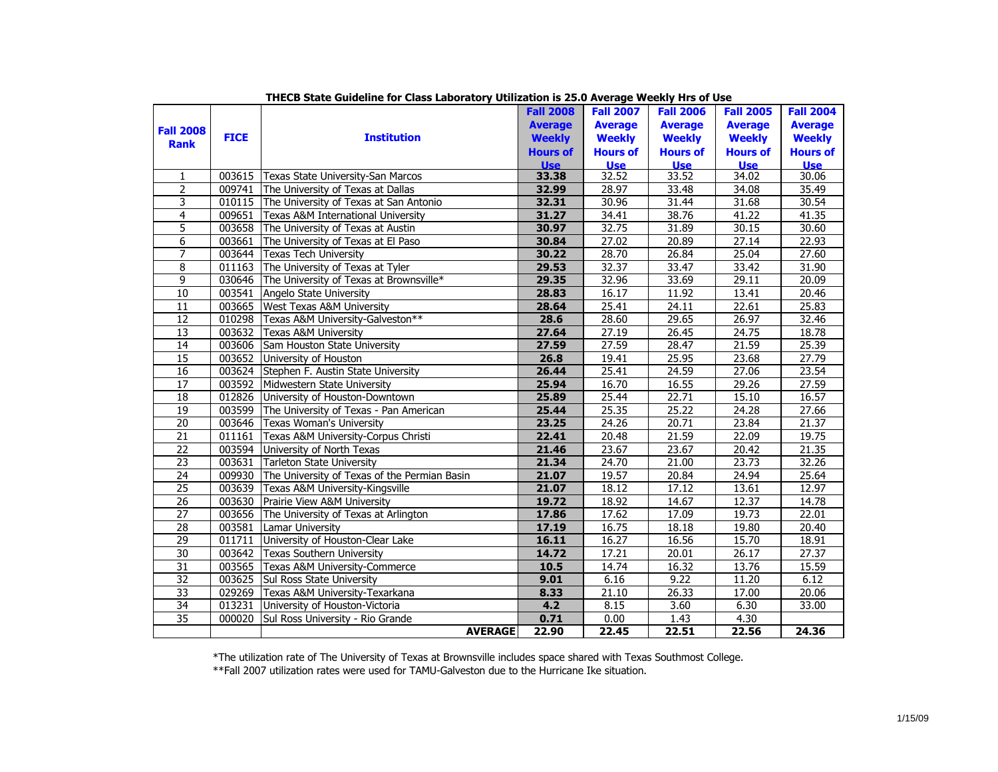|                  |             |                                              | <b>Fall 2008</b> | <b>Fall 2007</b> | <b>Fall 2006</b> | <b>Fall 2005</b> | <b>Fall 2004</b> |
|------------------|-------------|----------------------------------------------|------------------|------------------|------------------|------------------|------------------|
| <b>Fall 2008</b> |             |                                              | <b>Average</b>   | <b>Average</b>   | <b>Average</b>   | <b>Average</b>   | <b>Average</b>   |
| <b>Rank</b>      | <b>FICE</b> | <b>Institution</b>                           | <b>Weekly</b>    | <b>Weekly</b>    | <b>Weekly</b>    | <b>Weekly</b>    | <b>Weekly</b>    |
|                  |             |                                              | <b>Hours of</b>  | <b>Hours of</b>  | <b>Hours of</b>  | <b>Hours of</b>  | <b>Hours of</b>  |
|                  |             |                                              | <b>Use</b>       | <b>Use</b>       | <b>Use</b>       | <b>Use</b>       | <b>Use</b>       |
| $\mathbf{1}$     | 003615      | Texas State University-San Marcos            | 33.38            | 32.52            | 33.52            | 34.02            | 30.06            |
| $\overline{2}$   | 009741      | The University of Texas at Dallas            | 32.99            | 28.97            | 33.48            | 34.08            | 35.49            |
| 3                | 010115      | The University of Texas at San Antonio       | 32.31            | 30.96            | 31.44            | 31.68            | 30.54            |
| $\overline{4}$   | 009651      | Texas A&M International University           | 31.27            | 34.41            | 38.76            | 41.22            | 41.35            |
| 5                | 003658      | The University of Texas at Austin            | 30.97            | 32.75            | 31.89            | 30.15            | 30.60            |
| 6                | 003661      | The University of Texas at El Paso           | 30.84            | 27.02            | 20.89            | 27.14            | 22.93            |
| $\overline{7}$   | 003644      | <b>Texas Tech University</b>                 | 30.22            | 28.70            | 26.84            | 25.04            | 27.60            |
| 8                | 011163      | The University of Texas at Tyler             | 29.53            | 32.37            | 33.47            | 33.42            | 31.90            |
| 9                | 030646      | The University of Texas at Brownsville*      | 29.35            | 32.96            | 33.69            | 29.11            | 20.09            |
| $\overline{10}$  | 003541      | Angelo State University                      | 28.83            | 16.17            | 11.92            | 13.41            | 20.46            |
| 11               | 003665      | West Texas A&M University                    | 28.64            | 25.41            | 24.11            | 22.61            | 25.83            |
| 12               | 010298      | Texas A&M University-Galveston**             | 28.6             | 28.60            | 29.65            | 26.97            | 32.46            |
| 13               | 003632      | <b>Texas A&amp;M University</b>              | 27.64            | 27.19            | 26.45            | 24.75            | 18.78            |
| 14               | 003606      | Sam Houston State University                 | 27.59            | 27.59            | 28.47            | 21.59            | 25.39            |
| 15               | 003652      | University of Houston                        | 26.8             | 19.41            | 25.95            | 23.68            | 27.79            |
| 16               | 003624      | Stephen F. Austin State University           | 26.44            | 25.41            | 24.59            | 27.06            | 23.54            |
| 17               | 003592      | Midwestern State University                  | 25.94            | 16.70            | 16.55            | 29.26            | 27.59            |
| 18               | 012826      | University of Houston-Downtown               | 25.89            | 25.44            | 22.71            | 15.10            | 16.57            |
| 19               | 003599      | The University of Texas - Pan American       | 25.44            | 25.35            | 25.22            | 24.28            | 27.66            |
| 20               | 003646      | Texas Woman's University                     | 23.25            | 24.26            | 20.71            | 23.84            | 21.37            |
| $\overline{21}$  | 011161      | Texas A&M University-Corpus Christi          | 22.41            | 20.48            | 21.59            | 22.09            | 19.75            |
| 22               | 003594      | University of North Texas                    | 21.46            | 23.67            | 23.67            | 20.42            | 21.35            |
| $\overline{23}$  | 003631      | Tarleton State University                    | 21.34            | 24.70            | 21.00            | 23.73            | 32.26            |
| $\overline{24}$  | 009930      | The University of Texas of the Permian Basin | 21.07            | 19.57            | 20.84            | 24.94            | 25.64            |
| $\overline{25}$  | 003639      | Texas A&M University-Kingsville              | 21.07            | 18.12            | 17.12            | 13.61            | 12.97            |
| 26               | 003630      | Prairie View A&M University                  | 19.72            | 18.92            | 14.67            | 12.37            | 14.78            |
| 27               | 003656      | The University of Texas at Arlington         | 17.86            | 17.62            | 17.09            | 19.73            | 22.01            |
| 28               | 003581      | Lamar University                             | 17.19            | 16.75            | 18.18            | 19.80            | 20.40            |
| 29               | 011711      | University of Houston-Clear Lake             | 16.11            | 16.27            | 16.56            | 15.70            | 18.91            |
| $\overline{30}$  | 003642      | <b>Texas Southern University</b>             | 14.72            | 17.21            | 20.01            | 26.17            | 27.37            |
| $\overline{31}$  |             | 003565 Texas A&M University-Commerce         | $10.5$           | 14.74            | 16.32            | 13.76            | 15.59            |
| 32               | 003625      | Sul Ross State University                    | 9.01             | 6.16             | 9.22             | 11.20            | 6.12             |
| $\overline{33}$  | 029269      | Texas A&M University-Texarkana               | 8.33             | 21.10            | 26.33            | 17.00            | 20.06            |
| 34               | 013231      | University of Houston-Victoria               | 4.2              | 8.15             | 3.60             | 6.30             | 33.00            |
| $\overline{35}$  | 000020      | Sul Ross University - Rio Grande             | 0.71             | 0.00             | 1.43             | 4.30             |                  |
|                  |             | <b>AVERAGE</b>                               | 22.90            | 22.45            | 22.51            | 22.56            | 24.36            |

**THECB State Guideline for Class Laboratory Utilization is 25.0 Average Weekly Hrs of Use**

\*The utilization rate of The University of Texas at Brownsville includes space shared with Texas Southmost College.

\*\*Fall 2007 utilization rates were used for TAMU-Galveston due to the Hurricane Ike situation.